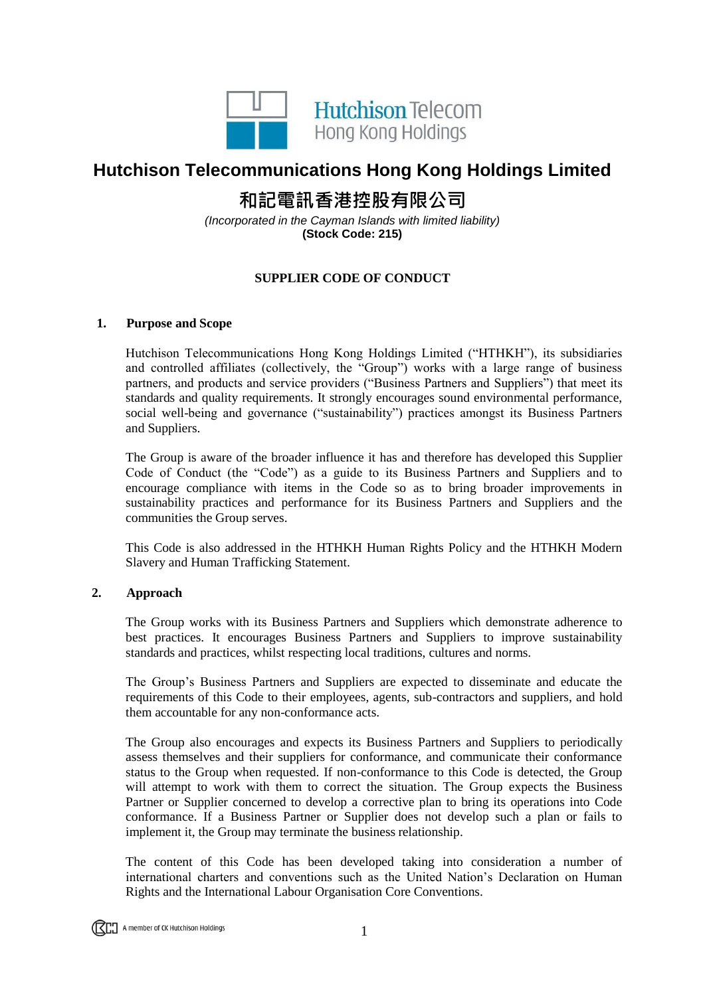

## **Hutchison Telecommunications Hong Kong Holdings Limited**

# **和記電訊香港控股有限公司**

*(Incorporated in the Cayman Islands with limited liability)* **(Stock Code: 215)**

### **SUPPLIER CODE OF CONDUCT**

#### **1. Purpose and Scope**

Hutchison Telecommunications Hong Kong Holdings Limited ("HTHKH"), its subsidiaries and controlled affiliates (collectively, the "Group") works with a large range of business partners, and products and service providers ("Business Partners and Suppliers") that meet its standards and quality requirements. It strongly encourages sound environmental performance, social well-being and governance ("sustainability") practices amongst its Business Partners and Suppliers.

The Group is aware of the broader influence it has and therefore has developed this Supplier Code of Conduct (the "Code") as a guide to its Business Partners and Suppliers and to encourage compliance with items in the Code so as to bring broader improvements in sustainability practices and performance for its Business Partners and Suppliers and the communities the Group serves.

This Code is also addressed in the HTHKH Human Rights Policy and the HTHKH Modern Slavery and Human Trafficking Statement.

#### **2. Approach**

The Group works with its Business Partners and Suppliers which demonstrate adherence to best practices. It encourages Business Partners and Suppliers to improve sustainability standards and practices, whilst respecting local traditions, cultures and norms.

The Group's Business Partners and Suppliers are expected to disseminate and educate the requirements of this Code to their employees, agents, sub-contractors and suppliers, and hold them accountable for any non-conformance acts.

The Group also encourages and expects its Business Partners and Suppliers to periodically assess themselves and their suppliers for conformance, and communicate their conformance status to the Group when requested. If non-conformance to this Code is detected, the Group will attempt to work with them to correct the situation. The Group expects the Business Partner or Supplier concerned to develop a corrective plan to bring its operations into Code conformance. If a Business Partner or Supplier does not develop such a plan or fails to implement it, the Group may terminate the business relationship.

The content of this Code has been developed taking into consideration a number of international charters and conventions such as the United Nation's Declaration on Human Rights and the International Labour Organisation Core Conventions.

**ITCO** A member of CK Hutchison Holdings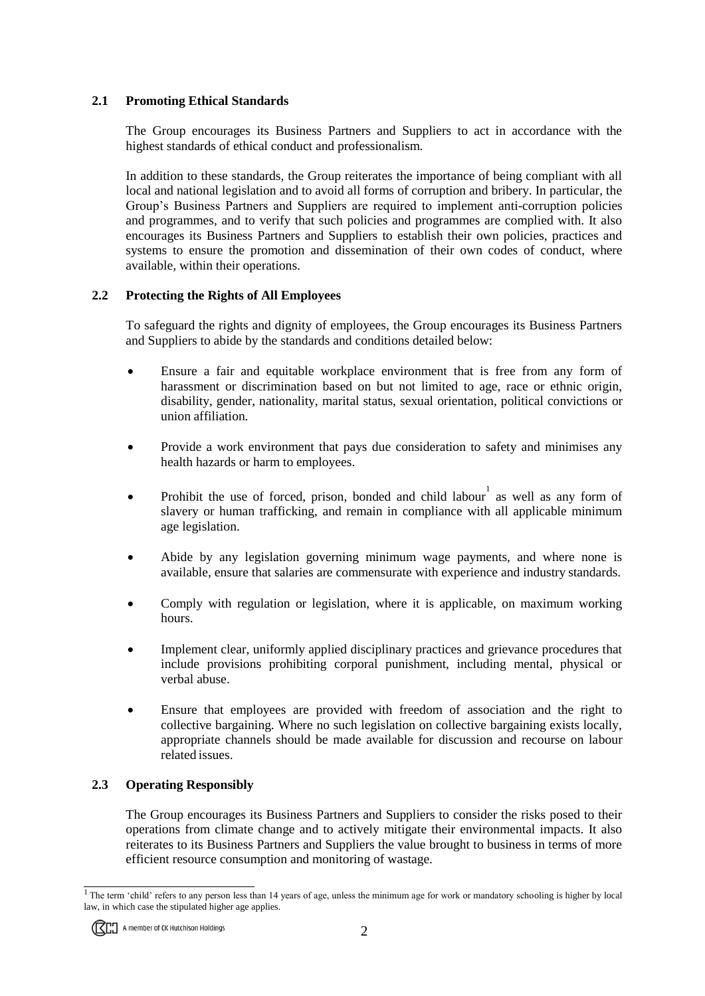#### **2.1 Promoting Ethical Standards**

The Group encourages its Business Partners and Suppliers to act in accordance with the highest standards of ethical conduct and professionalism.

In addition to these standards, the Group reiterates the importance of being compliant with all local and national legislation and to avoid all forms of corruption and bribery. In particular, the Group's Business Partners and Suppliers are required to implement anti-corruption policies and programmes, and to verify that such policies and programmes are complied with. It also encourages its Business Partners and Suppliers to establish their own policies, practices and systems to ensure the promotion and dissemination of their own codes of conduct, where available, within their operations.

#### **2.2 Protecting the Rights of All Employees**

To safeguard the rights and dignity of employees, the Group encourages its Business Partners and Suppliers to abide by the standards and conditions detailed below:

- Ensure a fair and equitable workplace environment that is free from any form of harassment or discrimination based on but not limited to age, race or ethnic origin, disability, gender, nationality, marital status, sexual orientation, political convictions or union affiliation.
- Provide a work environment that pays due consideration to safety and minimises any health hazards or harm to employees.
- Prohibit the use of forced, prison, bonded and child labour as well as any form of slavery or human trafficking, and remain in compliance with all applicable minimum age legislation.
- Abide by any legislation governing minimum wage payments, and where none is available, ensure that salaries are commensurate with experience and industry standards.
- Comply with regulation or legislation, where it is applicable, on maximum working hours.
- Implement clear, uniformly applied disciplinary practices and grievance procedures that include provisions prohibiting corporal punishment, including mental, physical or verbal abuse.
- Ensure that employees are provided with freedom of association and the right to collective bargaining. Where no such legislation on collective bargaining exists locally, appropriate channels should be made available for discussion and recourse on labour related issues.

#### **2.3 Operating Responsibly**

The Group encourages its Business Partners and Suppliers to consider the risks posed to their operations from climate change and to actively mitigate their environmental impacts. It also reiterates to its Business Partners and Suppliers the value brought to business in terms of more efficient resource consumption and monitoring of wastage.

 $1$  The term 'child' refers to any person less than 14 years of age, unless the minimum age for work or mandatory schooling is higher by local law, in which case the stipulated higher age applies.

**RED** A member of CK Hutchison Holdings